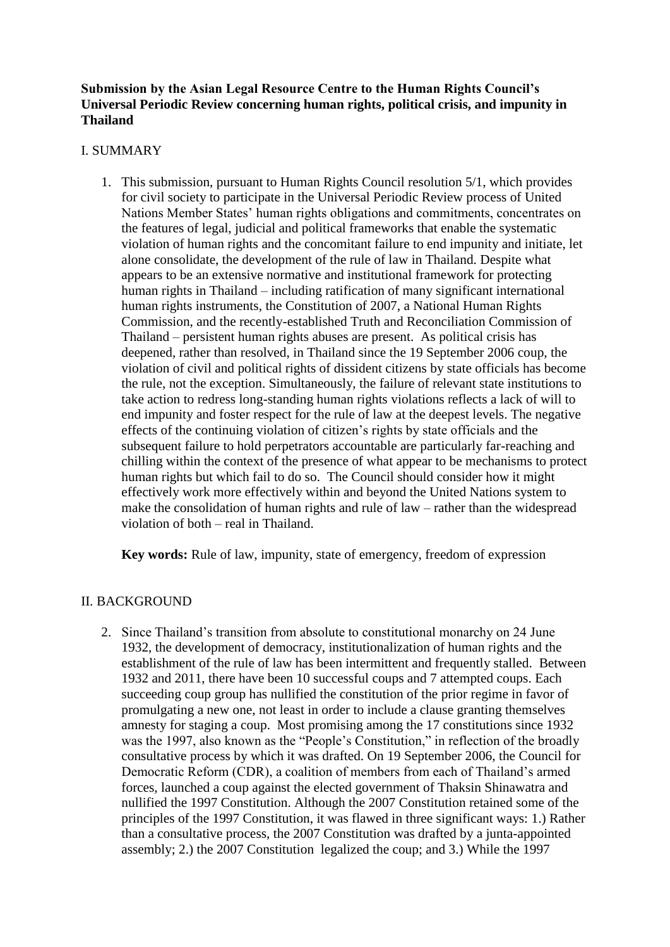# **Submission by the Asian Legal Resource Centre to the Human Rights Council's Universal Periodic Review concerning human rights, political crisis, and impunity in Thailand**

### I. SUMMARY

1. This submission, pursuant to Human Rights Council resolution 5/1, which provides for civil society to participate in the Universal Periodic Review process of United Nations Member States' human rights obligations and commitments, concentrates on the features of legal, judicial and political frameworks that enable the systematic violation of human rights and the concomitant failure to end impunity and initiate, let alone consolidate, the development of the rule of law in Thailand. Despite what appears to be an extensive normative and institutional framework for protecting human rights in Thailand – including ratification of many significant international human rights instruments, the Constitution of 2007, a National Human Rights Commission, and the recently-established Truth and Reconciliation Commission of Thailand – persistent human rights abuses are present. As political crisis has deepened, rather than resolved, in Thailand since the 19 September 2006 coup, the violation of civil and political rights of dissident citizens by state officials has become the rule, not the exception. Simultaneously, the failure of relevant state institutions to take action to redress long-standing human rights violations reflects a lack of will to end impunity and foster respect for the rule of law at the deepest levels. The negative effects of the continuing violation of citizen's rights by state officials and the subsequent failure to hold perpetrators accountable are particularly far-reaching and chilling within the context of the presence of what appear to be mechanisms to protect human rights but which fail to do so. The Council should consider how it might effectively work more effectively within and beyond the United Nations system to make the consolidation of human rights and rule of law – rather than the widespread violation of both – real in Thailand.

**Key words:** Rule of law, impunity, state of emergency, freedom of expression

# II. BACKGROUND

2. Since Thailand's transition from absolute to constitutional monarchy on 24 June 1932, the development of democracy, institutionalization of human rights and the establishment of the rule of law has been intermittent and frequently stalled. Between 1932 and 2011, there have been 10 successful coups and 7 attempted coups. Each succeeding coup group has nullified the constitution of the prior regime in favor of promulgating a new one, not least in order to include a clause granting themselves amnesty for staging a coup. Most promising among the 17 constitutions since 1932 was the 1997, also known as the "People's Constitution," in reflection of the broadly consultative process by which it was drafted. On 19 September 2006, the Council for Democratic Reform (CDR), a coalition of members from each of Thailand's armed forces, launched a coup against the elected government of Thaksin Shinawatra and nullified the 1997 Constitution. Although the 2007 Constitution retained some of the principles of the 1997 Constitution, it was flawed in three significant ways: 1.) Rather than a consultative process, the 2007 Constitution was drafted by a junta-appointed assembly; 2.) the 2007 Constitution legalized the coup; and 3.) While the 1997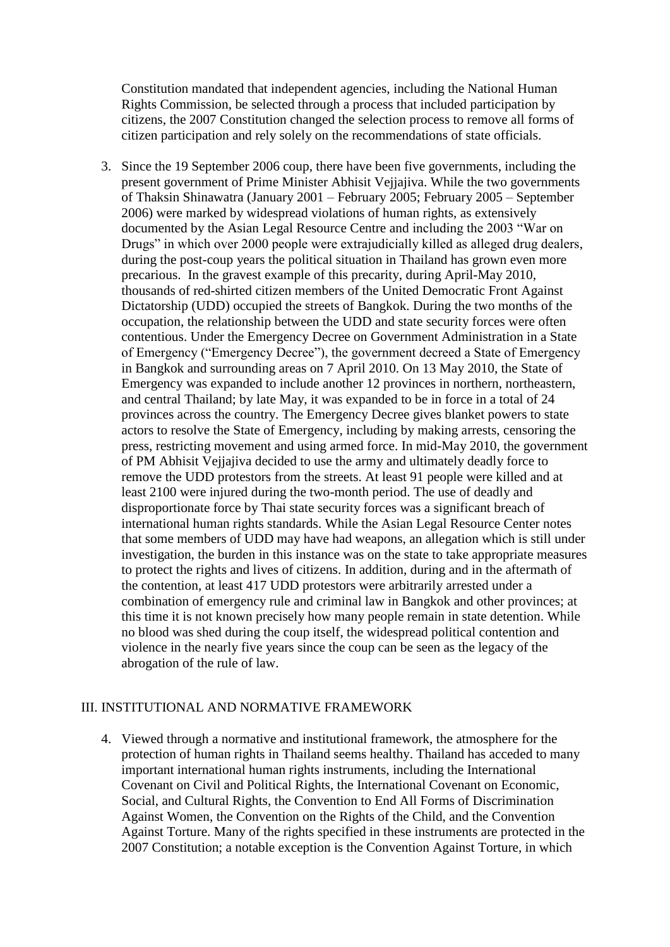Constitution mandated that independent agencies, including the National Human Rights Commission, be selected through a process that included participation by citizens, the 2007 Constitution changed the selection process to remove all forms of citizen participation and rely solely on the recommendations of state officials.

3. Since the 19 September 2006 coup, there have been five governments, including the present government of Prime Minister Abhisit Vejjajiva. While the two governments of Thaksin Shinawatra (January 2001 – February 2005; February 2005 – September 2006) were marked by widespread violations of human rights, as extensively documented by the Asian Legal Resource Centre and including the 2003 "War on Drugs" in which over 2000 people were extrajudicially killed as alleged drug dealers, during the post-coup years the political situation in Thailand has grown even more precarious. In the gravest example of this precarity, during April-May 2010, thousands of red-shirted citizen members of the United Democratic Front Against Dictatorship (UDD) occupied the streets of Bangkok. During the two months of the occupation, the relationship between the UDD and state security forces were often contentious. Under the Emergency Decree on Government Administration in a State of Emergency ("Emergency Decree"), the government decreed a State of Emergency in Bangkok and surrounding areas on 7 April 2010. On 13 May 2010, the State of Emergency was expanded to include another 12 provinces in northern, northeastern, and central Thailand; by late May, it was expanded to be in force in a total of 24 provinces across the country. The Emergency Decree gives blanket powers to state actors to resolve the State of Emergency, including by making arrests, censoring the press, restricting movement and using armed force. In mid-May 2010, the government of PM Abhisit Vejjajiva decided to use the army and ultimately deadly force to remove the UDD protestors from the streets. At least 91 people were killed and at least 2100 were injured during the two-month period. The use of deadly and disproportionate force by Thai state security forces was a significant breach of international human rights standards. While the Asian Legal Resource Center notes that some members of UDD may have had weapons, an allegation which is still under investigation, the burden in this instance was on the state to take appropriate measures to protect the rights and lives of citizens. In addition, during and in the aftermath of the contention, at least 417 UDD protestors were arbitrarily arrested under a combination of emergency rule and criminal law in Bangkok and other provinces; at this time it is not known precisely how many people remain in state detention. While no blood was shed during the coup itself, the widespread political contention and violence in the nearly five years since the coup can be seen as the legacy of the abrogation of the rule of law.

#### III. INSTITUTIONAL AND NORMATIVE FRAMEWORK

4. Viewed through a normative and institutional framework, the atmosphere for the protection of human rights in Thailand seems healthy. Thailand has acceded to many important international human rights instruments, including the International Covenant on Civil and Political Rights, the International Covenant on Economic, Social, and Cultural Rights, the Convention to End All Forms of Discrimination Against Women, the Convention on the Rights of the Child, and the Convention Against Torture. Many of the rights specified in these instruments are protected in the 2007 Constitution; a notable exception is the Convention Against Torture, in which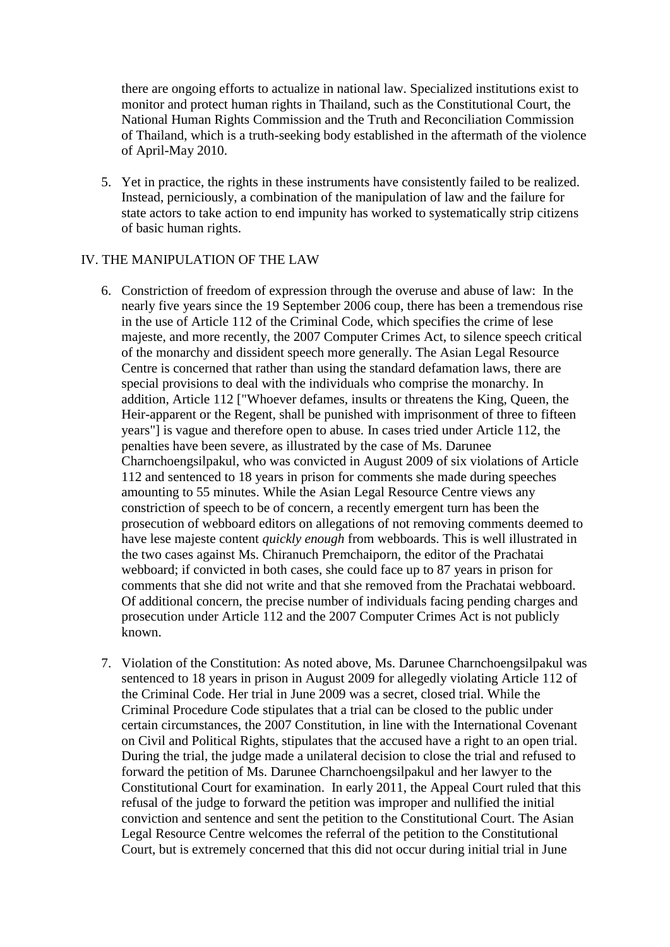there are ongoing efforts to actualize in national law. Specialized institutions exist to monitor and protect human rights in Thailand, such as the Constitutional Court, the National Human Rights Commission and the Truth and Reconciliation Commission of Thailand, which is a truth-seeking body established in the aftermath of the violence of April-May 2010.

5. Yet in practice, the rights in these instruments have consistently failed to be realized. Instead, perniciously, a combination of the manipulation of law and the failure for state actors to take action to end impunity has worked to systematically strip citizens of basic human rights.

### IV. THE MANIPULATION OF THE LAW

- 6. Constriction of freedom of expression through the overuse and abuse of law: In the nearly five years since the 19 September 2006 coup, there has been a tremendous rise in the use of Article 112 of the Criminal Code, which specifies the crime of lese majeste, and more recently, the 2007 Computer Crimes Act, to silence speech critical of the monarchy and dissident speech more generally. The Asian Legal Resource Centre is concerned that rather than using the standard defamation laws, there are special provisions to deal with the individuals who comprise the monarchy. In addition, Article 112 ["Whoever defames, insults or threatens the King, Queen, the Heir-apparent or the Regent, shall be punished with imprisonment of three to fifteen years"] is vague and therefore open to abuse. In cases tried under Article 112, the penalties have been severe, as illustrated by the case of Ms. Darunee Charnchoengsilpakul, who was convicted in August 2009 of six violations of Article 112 and sentenced to 18 years in prison for comments she made during speeches amounting to 55 minutes. While the Asian Legal Resource Centre views any constriction of speech to be of concern, a recently emergent turn has been the prosecution of webboard editors on allegations of not removing comments deemed to have lese majeste content *quickly enough* from webboards. This is well illustrated in the two cases against Ms. Chiranuch Premchaiporn, the editor of the Prachatai webboard; if convicted in both cases, she could face up to 87 years in prison for comments that she did not write and that she removed from the Prachatai webboard. Of additional concern, the precise number of individuals facing pending charges and prosecution under Article 112 and the 2007 Computer Crimes Act is not publicly known.
- 7. Violation of the Constitution: As noted above, Ms. Darunee Charnchoengsilpakul was sentenced to 18 years in prison in August 2009 for allegedly violating Article 112 of the Criminal Code. Her trial in June 2009 was a secret, closed trial. While the Criminal Procedure Code stipulates that a trial can be closed to the public under certain circumstances, the 2007 Constitution, in line with the International Covenant on Civil and Political Rights, stipulates that the accused have a right to an open trial. During the trial, the judge made a unilateral decision to close the trial and refused to forward the petition of Ms. Darunee Charnchoengsilpakul and her lawyer to the Constitutional Court for examination. In early 2011, the Appeal Court ruled that this refusal of the judge to forward the petition was improper and nullified the initial conviction and sentence and sent the petition to the Constitutional Court. The Asian Legal Resource Centre welcomes the referral of the petition to the Constitutional Court, but is extremely concerned that this did not occur during initial trial in June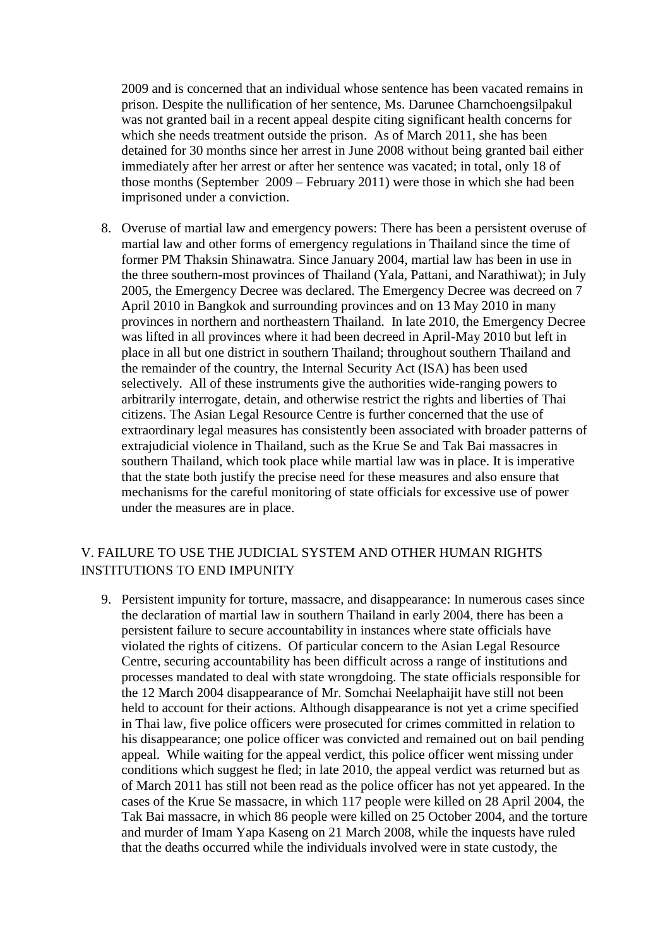2009 and is concerned that an individual whose sentence has been vacated remains in prison. Despite the nullification of her sentence, Ms. Darunee Charnchoengsilpakul was not granted bail in a recent appeal despite citing significant health concerns for which she needs treatment outside the prison. As of March 2011, she has been detained for 30 months since her arrest in June 2008 without being granted bail either immediately after her arrest or after her sentence was vacated; in total, only 18 of those months (September 2009 – February 2011) were those in which she had been imprisoned under a conviction.

8. Overuse of martial law and emergency powers: There has been a persistent overuse of martial law and other forms of emergency regulations in Thailand since the time of former PM Thaksin Shinawatra. Since January 2004, martial law has been in use in the three southern-most provinces of Thailand (Yala, Pattani, and Narathiwat); in July 2005, the Emergency Decree was declared. The Emergency Decree was decreed on 7 April 2010 in Bangkok and surrounding provinces and on 13 May 2010 in many provinces in northern and northeastern Thailand. In late 2010, the Emergency Decree was lifted in all provinces where it had been decreed in April-May 2010 but left in place in all but one district in southern Thailand; throughout southern Thailand and the remainder of the country, the Internal Security Act (ISA) has been used selectively. All of these instruments give the authorities wide-ranging powers to arbitrarily interrogate, detain, and otherwise restrict the rights and liberties of Thai citizens. The Asian Legal Resource Centre is further concerned that the use of extraordinary legal measures has consistently been associated with broader patterns of extrajudicial violence in Thailand, such as the Krue Se and Tak Bai massacres in southern Thailand, which took place while martial law was in place. It is imperative that the state both justify the precise need for these measures and also ensure that mechanisms for the careful monitoring of state officials for excessive use of power under the measures are in place.

# V. FAILURE TO USE THE JUDICIAL SYSTEM AND OTHER HUMAN RIGHTS INSTITUTIONS TO END IMPUNITY

9. Persistent impunity for torture, massacre, and disappearance: In numerous cases since the declaration of martial law in southern Thailand in early 2004, there has been a persistent failure to secure accountability in instances where state officials have violated the rights of citizens. Of particular concern to the Asian Legal Resource Centre, securing accountability has been difficult across a range of institutions and processes mandated to deal with state wrongdoing. The state officials responsible for the 12 March 2004 disappearance of Mr. Somchai Neelaphaijit have still not been held to account for their actions. Although disappearance is not yet a crime specified in Thai law, five police officers were prosecuted for crimes committed in relation to his disappearance; one police officer was convicted and remained out on bail pending appeal. While waiting for the appeal verdict, this police officer went missing under conditions which suggest he fled; in late 2010, the appeal verdict was returned but as of March 2011 has still not been read as the police officer has not yet appeared. In the cases of the Krue Se massacre, in which 117 people were killed on 28 April 2004, the Tak Bai massacre, in which 86 people were killed on 25 October 2004, and the torture and murder of Imam Yapa Kaseng on 21 March 2008, while the inquests have ruled that the deaths occurred while the individuals involved were in state custody, the